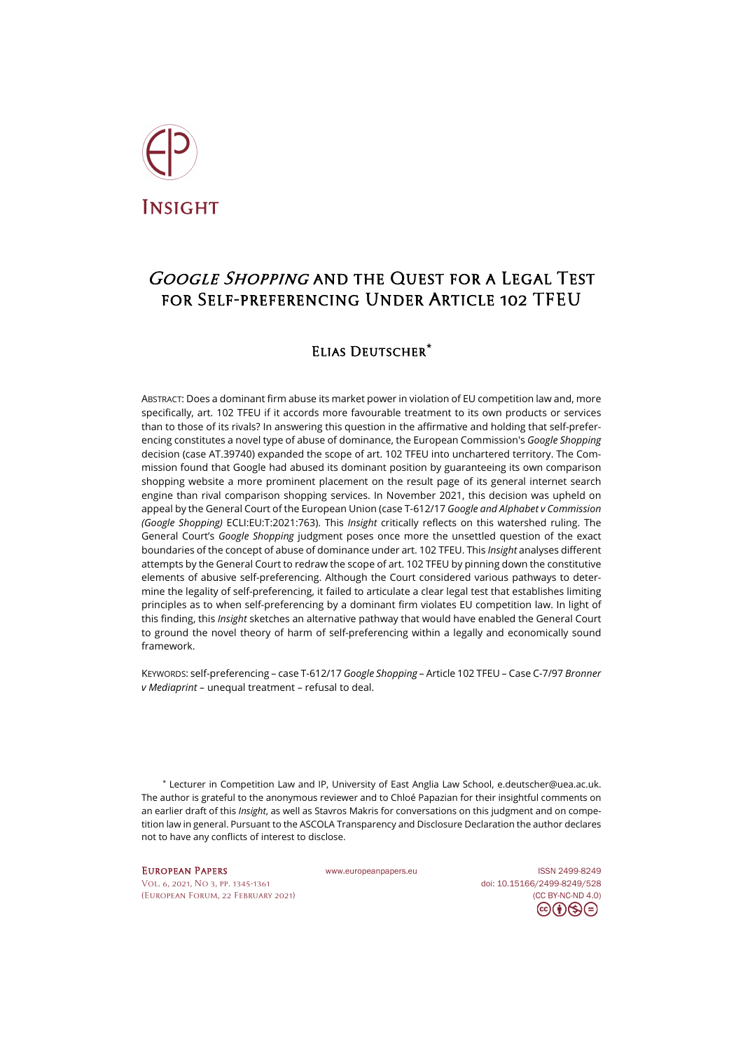

# Google Shopping and the Quest for a Legal Test for Self-preferencing Under Article 102 TFEU

# Elias Deutscher**[\\*](#page-0-0)**

ABSTRACT: Does a dominant firm abuse its market power in violation of EU competition law and, more specifically, art. 102 TFEU if it accords more favourable treatment to its own products or services than to those of its rivals? In answering this question in the affirmative and holding that self-preferencing constitutes a novel type of abuse of dominance, the European Commission's *Google Shopping* decision (case AT.39740) expanded the scope of art. 102 TFEU into unchartered territory. The Commission found that Google had abused its dominant position by guaranteeing its own comparison shopping website a more prominent placement on the result page of its general internet search engine than rival comparison shopping services. In November 2021, this decision was upheld on appeal by the General Court of the European Union (case T-612/17 *Google and Alphabet v Commission (Google Shopping)* ECLI:EU:T:2021:763). This *Insight* critically reflects on this watershed ruling. The General Court's *Google Shopping* judgment poses once more the unsettled question of the exact boundaries of the concept of abuse of dominance under art. 102 TFEU. This *Insight* analyses different attempts by the General Court to redraw the scope of art. 102 TFEU by pinning down the constitutive elements of abusive self-preferencing. Although the Court considered various pathways to determine the legality of self-preferencing, it failed to articulate a clear legal test that establishes limiting principles as to when self-preferencing by a dominant firm violates EU competition law. In light of this finding, this *Insight* sketches an alternative pathway that would have enabled the General Court to ground the novel theory of harm of self-preferencing within a legally and economically sound framework.

KEYWORDS: self-preferencing – case T-612/17 *Google Shopping* – Article 102 TFEU – Case C-7/97 *Bronner v Mediaprint* – unequal treatment – refusal to deal.

<span id="page-0-0"></span>\* Lecturer in Competition Law and IP, University of East Anglia Law School, [e.deutscher@uea.ac.uk.](mailto:e.deutscher@uea.ac.uk) The author is grateful to the anonymous reviewer and to Chloé Papazian for their insightful comments on an earlier draft of this *Insight*, as well as Stavros Makris for conversations on this judgment and on competition law in general. Pursuant to the ASCOLA Transparency and Disclosure Declaration the author declares not to have any conflicts of interest to disclose.

[Vol. 6, 2021, No 3,](https://www.europeanpapers.eu/en/content/e-journal/EP_eJ_2021_3) pp. 1345-1361 doi[: 10.15166/2499-8249/528](https://search.datacite.org/works/10.15166/2499-8249/528) [\(European](http://www.europeanpapers.eu/en/content/european-forum) Forum, 22 February 2021) [\(CC BY-NC-ND 4.0\)](https://creativecommons.org/licenses/by-nc-nd/4.0/)

EUROPEAN PAPERS WWW.europeanpapers.eu ISS[N 2499-8249](https://search.datacite.org/works?query=www.europeanpapers.eu)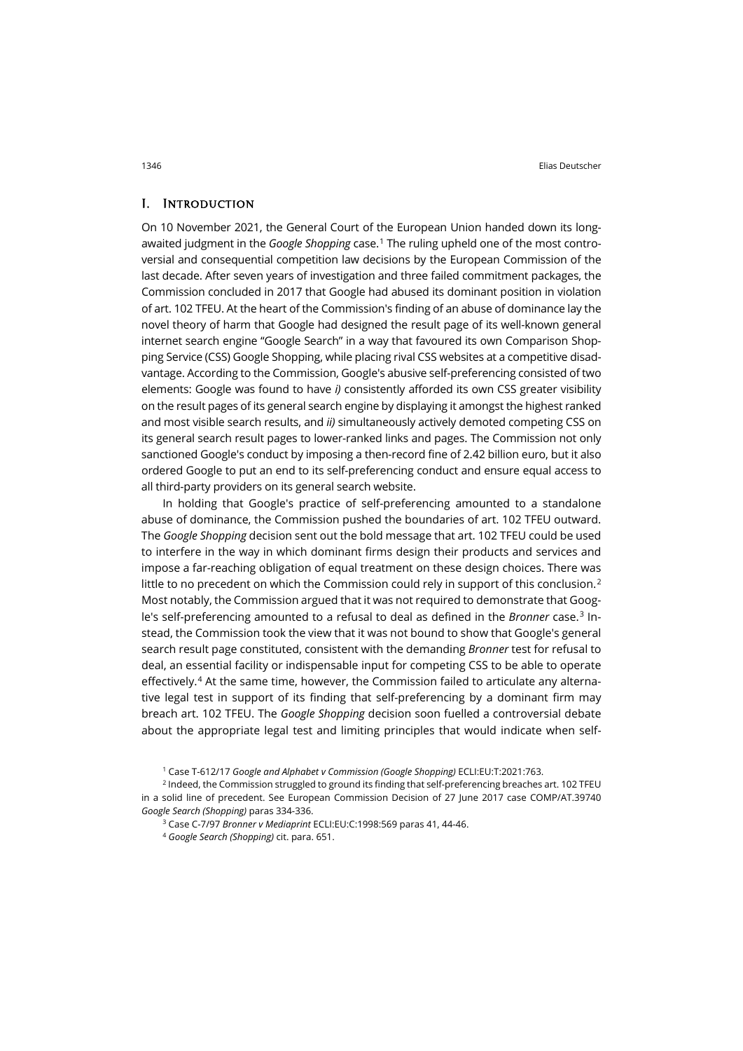#### I. Introduction

On 10 November 2021, the General Court of the European Union handed down its longawaited judgment in the *Google Shopping* case.[1](#page-1-0) The ruling upheld one of the most controversial and consequential competition law decisions by the European Commission of the last decade. After seven years of investigation and three failed commitment packages, the Commission concluded in 2017 that Google had abused its dominant position in violation of art. 102 TFEU. At the heart of the Commission's finding of an abuse of dominance lay the novel theory of harm that Google had designed the result page of its well-known general internet search engine "Google Search" in a way that favoured its own Comparison Shopping Service (CSS) Google Shopping, while placing rival CSS websites at a competitive disadvantage. According to the Commission, Google's abusive self-preferencing consisted of two elements: Google was found to have *i)* consistently afforded its own CSS greater visibility on the result pages of its general search engine by displaying it amongst the highest ranked and most visible search results, and *ii)* simultaneously actively demoted competing CSS on its general search result pages to lower-ranked links and pages. The Commission not only sanctioned Google's conduct by imposing a then-record fine of 2.42 billion euro, but it also ordered Google to put an end to its self-preferencing conduct and ensure equal access to all third-party providers on its general search website.

In holding that Google's practice of self-preferencing amounted to a standalone abuse of dominance, the Commission pushed the boundaries of art. 102 TFEU outward. The *Google Shopping* decision sent out the bold message that art. 102 TFEU could be used to interfere in the way in which dominant firms design their products and services and impose a far-reaching obligation of equal treatment on these design choices. There was little to no precedent on which the Commission could rely in support of this conclusion. $2$ Most notably, the Commission argued that it was not required to demonstrate that Google's self-preferencing amounted to a refusal to deal as defined in the *Bronner* case. [3](#page-1-2) Instead, the Commission took the view that it was not bound to show that Google's general search result page constituted, consistent with the demanding *Bronner* test for refusal to deal, an essential facility or indispensable input for competing CSS to be able to operate effectively.[4](#page-1-3) At the same time, however, the Commission failed to articulate any alternative legal test in support of its finding that self-preferencing by a dominant firm may breach art. 102 TFEU. The *Google Shopping* decision soon fuelled a controversial debate about the appropriate legal test and limiting principles that would indicate when self-

<sup>1</sup> Case T-612/17 *Google and Alphabet v Commission (Google Shopping)* ECLI:EU:T:2021:763.

<span id="page-1-3"></span><span id="page-1-2"></span><span id="page-1-1"></span><span id="page-1-0"></span><sup>&</sup>lt;sup>2</sup> Indeed, the Commission struggled to ground its finding that self-preferencing breaches art. 102 TFEU in a solid line of precedent. See European Commission Decision of 27 June 2017 case COMP/AT.39740 *Google Search (Shopping)* paras 334-336.

<sup>3</sup> Case C-7/97 *Bronner v Mediaprint* ECLI:EU:C:1998:569 paras 41, 44-46.

<sup>4</sup> *Google Search (Shopping)* cit. para. 651.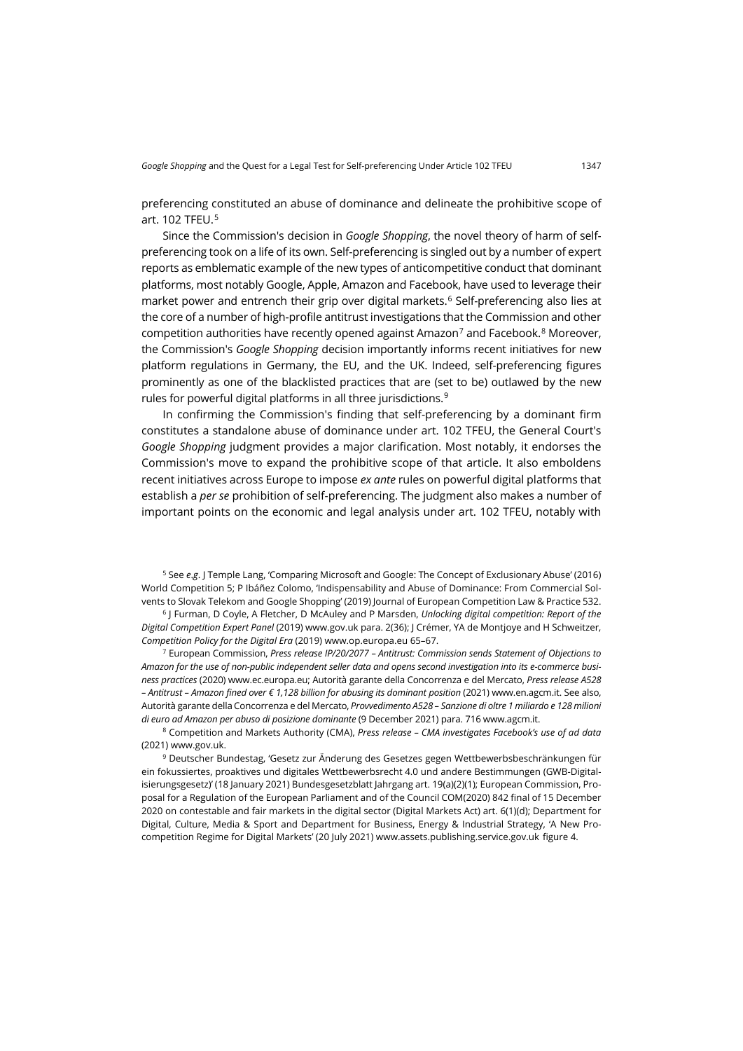preferencing constituted an abuse of dominance and delineate the prohibitive scope of art. 102 TFEU.[5](#page-2-0)

Since the Commission's decision in *Google Shopping*, the novel theory of harm of selfpreferencing took on a life of its own. Self-preferencing is singled out by a number of expert reports as emblematic example of the new types of anticompetitive conduct that dominant platforms, most notably Google, Apple, Amazon and Facebook, have used to leverage their market power and entrench their grip over digital markets. [6](#page-2-1) Self-preferencing also lies at the core of a number of high-profile antitrust investigations that the Commission and other competition authorities have recently opened against Amazon<sup>[7](#page-2-2)</sup> and Facebook.<sup>[8](#page-2-3)</sup> Moreover, the Commission's *Google Shopping* decision importantly informs recent initiatives for new platform regulations in Germany, the EU, and the UK. Indeed, self-preferencing figures prominently as one of the blacklisted practices that are (set to be) outlawed by the new rules for powerful digital platforms in all three jurisdictions.<sup>[9](#page-2-4)</sup>

In confirming the Commission's finding that self-preferencing by a dominant firm constitutes a standalone abuse of dominance under art. 102 TFEU, the General Court's *Google Shopping* judgment provides a major clarification. Most notably, it endorses the Commission's move to expand the prohibitive scope of that article. It also emboldens recent initiatives across Europe to impose *ex ante* rules on powerful digital platforms that establish a *per se* prohibition of self-preferencing. The judgment also makes a number of important points on the economic and legal analysis under art. 102 TFEU, notably with

<span id="page-2-0"></span><sup>5</sup> See *e*.*g*. J Temple Lang, 'Comparing Microsoft and Google: The Concept of Exclusionary Abuse' (2016) World Competition 5; P Ibáñez Colomo, 'Indispensability and Abuse of Dominance: From Commercial Solvents to Slovak Telekom and Google Shopping' (2019) Journal of European Competition Law & Practice 532.

<span id="page-2-1"></span><sup>6</sup> J Furman, D Coyle, A Fletcher, D McAuley and P Marsden, *Unlocking digital competition: Report of the Digital Competition Expert Panel* (2019[\) www.gov.uk](https://www.gov.uk/government/publications/unlocking-digital-competition-report-of-the-digital-competition-expert-panel) para. 2(36); J Crémer, YA de Montjoye and H Schweitzer, *Competition Policy for the Digital Era* (2019[\) www.op.europa.eu](https://op.europa.eu/it/publication-detail/-/publication/21dc175c-7b76-11e9-9f05-01aa75ed71a1) 65–67.

<span id="page-2-2"></span><sup>7</sup> European Commission, *Press release IP/20/2077 – Antitrust: Commission sends Statement of Objections to Amazon for the use of non-public independent seller data and opens second investigation into its e-commerce business practices* (2020) [www.ec.europa.eu;](https://ec.europa.eu/commission/presscorner/detail/en/ip_20_2077) Autorità garante della Concorrenza e del Mercato, *Press release A528 – Antitrust – Amazon fined over € 1,128 billion for abusing its dominant position* (2021) [www.en.agcm.it.](https://en.agcm.it/en/media/press-releases/2021/12/A528) See also, Autorità garante della Concorrenza e del Mercato, *Provvedimento A528 – Sanzione di oltre 1 miliardo e 128 milioni di euro ad Amazon per abuso di posizione dominante* (9 December 2021) para. 716 [www.agcm.it.](https://www.agcm.it/dotcmsdoc/allegati-news/A528_chiusura%20istruttoria.pdf)

<span id="page-2-3"></span><sup>8</sup> Competition and Markets Authority (CMA), *Press release – CMA investigates Facebook's use of ad data* (2021) [www.gov.uk.](https://www.gov.uk/government/news/cma-investigates-facebook-s-use-of-ad-data)

<span id="page-2-4"></span><sup>9</sup> Deutscher Bundestag, 'Gesetz zur Änderung des Gesetzes gegen Wettbewerbsbeschränkungen für ein fokussiertes, proaktives und digitales Wettbewerbsrecht 4.0 und andere Bestimmungen (GWB-Digitalisierungsgesetz)' (18 January 2021) Bundesgesetzblatt Jahrgang art. 19(a)(2)(1); European Commission, Proposal for a Regulation of the European Parliament and of the Council COM(2020) 842 final of 15 December 2020 on contestable and fair markets in the digital sector (Digital Markets Act) art. 6(1)(d); Department for Digital, Culture, Media & Sport and Department for Business, Energy & Industrial Strategy, 'A New Procompetition Regime for Digital Markets' (20 July 2021) [www.assets.publishing.service.gov.uk](https://assets.publishing.service.gov.uk/government/uploads/system/uploads/attachment_data/file/1003913/Digital_Competition_Consultation_v2.pdf) figure 4.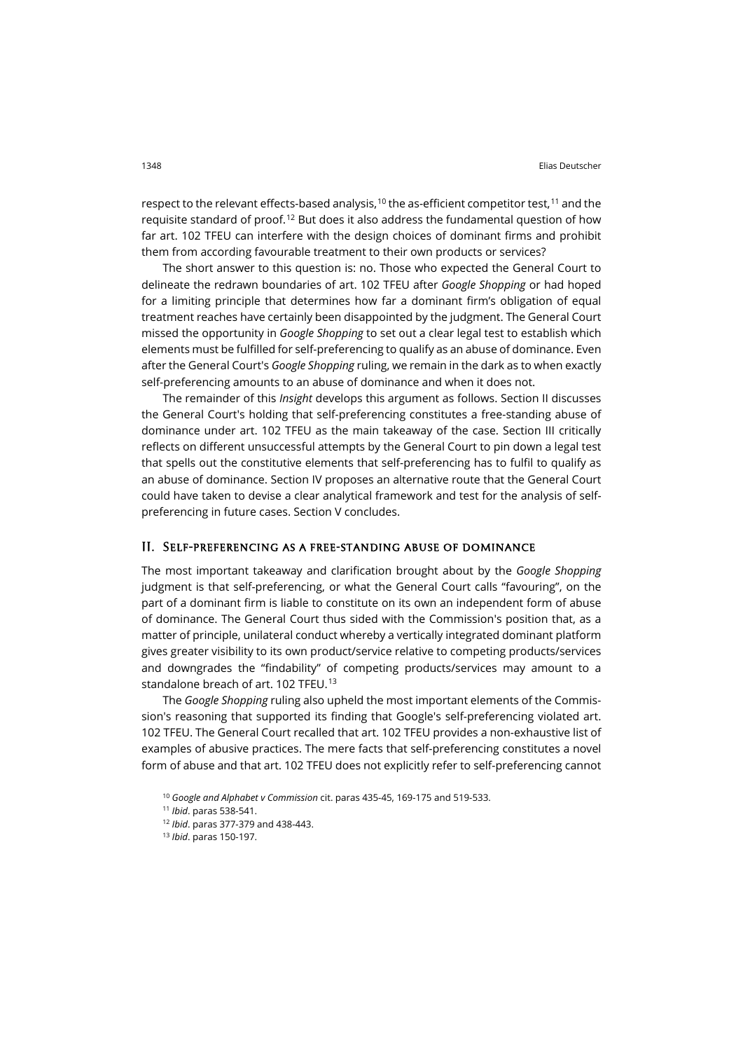respect to the relevant effects-based analysis,  $^{\text{10}}$  $^{\text{10}}$  $^{\text{10}}$  the as-efficient competitor test,  $^{\text{11}}$  $^{\text{11}}$  $^{\text{11}}$  and the requisite standard of proof.<sup>[12](#page-3-2)</sup> But does it also address the fundamental question of how far art. 102 TFEU can interfere with the design choices of dominant firms and prohibit them from according favourable treatment to their own products or services?

The short answer to this question is: no. Those who expected the General Court to delineate the redrawn boundaries of art. 102 TFEU after *Google Shopping* or had hoped for a limiting principle that determines how far a dominant firm's obligation of equal treatment reaches have certainly been disappointed by the judgment. The General Court missed the opportunity in *Google Shopping* to set out a clear legal test to establish which elements must be fulfilled for self-preferencing to qualify as an abuse of dominance. Even after the General Court's *Google Shopping* ruling, we remain in the dark as to when exactly self-preferencing amounts to an abuse of dominance and when it does not.

The remainder of this *Insight* develops this argument as follows. Section II discusses the General Court's holding that self-preferencing constitutes a free-standing abuse of dominance under art. 102 TFEU as the main takeaway of the case. Section III critically reflects on different unsuccessful attempts by the General Court to pin down a legal test that spells out the constitutive elements that self-preferencing has to fulfil to qualify as an abuse of dominance. Section IV proposes an alternative route that the General Court could have taken to devise a clear analytical framework and test for the analysis of selfpreferencing in future cases. Section V concludes.

#### II. Self-preferencing as a free-standing abuse of dominance

The most important takeaway and clarification brought about by the *Google Shopping* judgment is that self-preferencing, or what the General Court calls "favouring", on the part of a dominant firm is liable to constitute on its own an independent form of abuse of dominance. The General Court thus sided with the Commission's position that, as a matter of principle, unilateral conduct whereby a vertically integrated dominant platform gives greater visibility to its own product/service relative to competing products/services and downgrades the "findability" of competing products/services may amount to a standalone breach of art. 102 TFEU. [13](#page-3-3)

The *Google Shopping* ruling also upheld the most important elements of the Commission's reasoning that supported its finding that Google's self-preferencing violated art. 102 TFEU. The General Court recalled that art. 102 TFEU provides a non-exhaustive list of examples of abusive practices. The mere facts that self-preferencing constitutes a novel form of abuse and that art. 102 TFEU does not explicitly refer to self-preferencing cannot

<span id="page-3-0"></span><sup>10</sup> *Google and Alphabet v Commission* cit. paras 435-45, 169-175 and 519-533.

<span id="page-3-1"></span><sup>11</sup> *Ibid*. paras 538-541.

<sup>12</sup> *Ibid*. paras 377-379 and 438-443.

<span id="page-3-3"></span><span id="page-3-2"></span><sup>13</sup> *Ibid*. paras 150-197.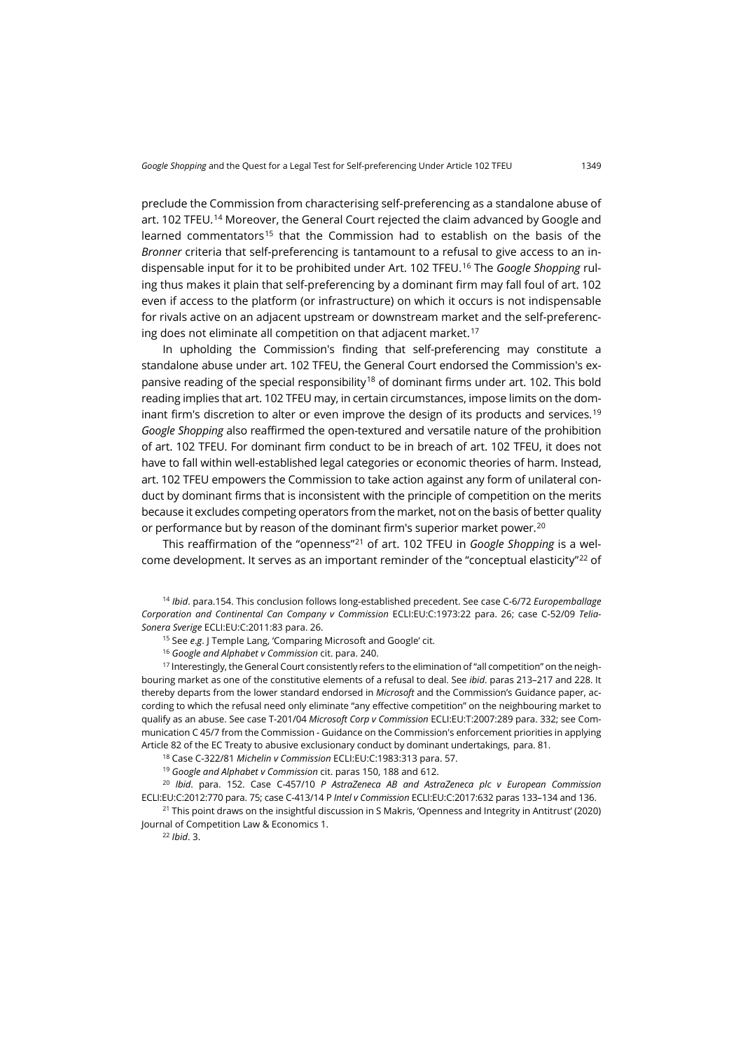preclude the Commission from characterising self-preferencing as a standalone abuse of art. 102 TFEU.[14](#page-4-0) Moreover, the General Court rejected the claim advanced by Google and learned commentators<sup>[15](#page-4-1)</sup> that the Commission had to establish on the basis of the *Bronner* criteria that self-preferencing is tantamount to a refusal to give access to an indispensable input for it to be prohibited under Art. 102 TFEU. [16](#page-4-2) The *Google Shopping* ruling thus makes it plain that self-preferencing by a dominant firm may fall foul of art. 102 even if access to the platform (or infrastructure) on which it occurs is not indispensable for rivals active on an adjacent upstream or downstream market and the self-preferenc-ing does not eliminate all competition on that adjacent market.<sup>[17](#page-4-3)</sup>

In upholding the Commission's finding that self-preferencing may constitute a standalone abuse under art. 102 TFEU, the General Court endorsed the Commission's ex-pansive reading of the special responsibility<sup>[18](#page-4-4)</sup> of dominant firms under art. 102. This bold reading implies that art. 102 TFEU may, in certain circumstances, impose limits on the dominant firm's discretion to alter or even improve the design of its products and services. [19](#page-4-5) *Google Shopping* also reaffirmed the open-textured and versatile nature of the prohibition of art. 102 TFEU. For dominant firm conduct to be in breach of art. 102 TFEU, it does not have to fall within well-established legal categories or economic theories of harm. Instead, art. 102 TFEU empowers the Commission to take action against any form of unilateral conduct by dominant firms that is inconsistent with the principle of competition on the merits because it excludes competing operators from the market, not on the basis of better quality or performance but by reason of the dominant firm's superior market power.<sup>[20](#page-4-6)</sup>

This reaffirmation of the "openness"[21](#page-4-7) of art. 102 TFEU in *Google Shopping* is a wel-come development. It serves as an important reminder of the "conceptual elasticity"<sup>[22](#page-4-8)</sup> of

<span id="page-4-0"></span><sup>14</sup> *Ibid*. para.154. This conclusion follows long-established precedent. See case C-6/72 *Europemballage Corporation and Continental Can Company v Commission* ECLI:EU:C:1973:22 para. 26; case C-52/09 *Telia-Sonera Sverige* ECLI:EU:C:2011:83 para. 26.

<sup>15</sup> See *e*.*g*. J Temple Lang, 'Comparing Microsoft and Google' cit.

<sup>16</sup> *Google and Alphabet v Commission* cit. para. 240.

<span id="page-4-3"></span><span id="page-4-2"></span><span id="page-4-1"></span><sup>17</sup> Interestingly, the General Court consistently refers to the elimination of "all competition" on the neighbouring market as one of the constitutive elements of a refusal to deal. See *ibid*. paras 213–217 and 228. It thereby departs from the lower standard endorsed in *Microsoft* and the Commission's Guidance paper, according to which the refusal need only eliminate "any effective competition" on the neighbouring market to qualify as an abuse. See case T-201/04 *Microsoft Corp v Commission* ECLI:EU:T:2007:289 para. 332; see Communication C 45/7 from the Commission - Guidance on the Commission's enforcement priorities in applying Article 82 of the EC Treaty to abusive exclusionary conduct by dominant undertakings, para. 81.

<sup>18</sup> Case C-322/81 *Michelin v Commission* ECLI:EU:C:1983:313 para. 57.

<sup>19</sup> *Google and Alphabet v Commission* cit. paras 150, 188 and 612.

<span id="page-4-6"></span><span id="page-4-5"></span><span id="page-4-4"></span><sup>20</sup> *Ibid*. para. 152. Case C-457/10 *P AstraZeneca AB and AstraZeneca plc v European Commission* ECLI:EU:C:2012:770 para. 75; case C-413/14 P *Intel v Commission* ECLI:EU:C:2017:632 paras 133–134 and 136.

<span id="page-4-8"></span><span id="page-4-7"></span><sup>21</sup> This point draws on the insightful discussion in S Makris, 'Openness and Integrity in Antitrust' (2020) Journal of Competition Law & Economics 1.

<sup>22</sup> *Ibid*. 3.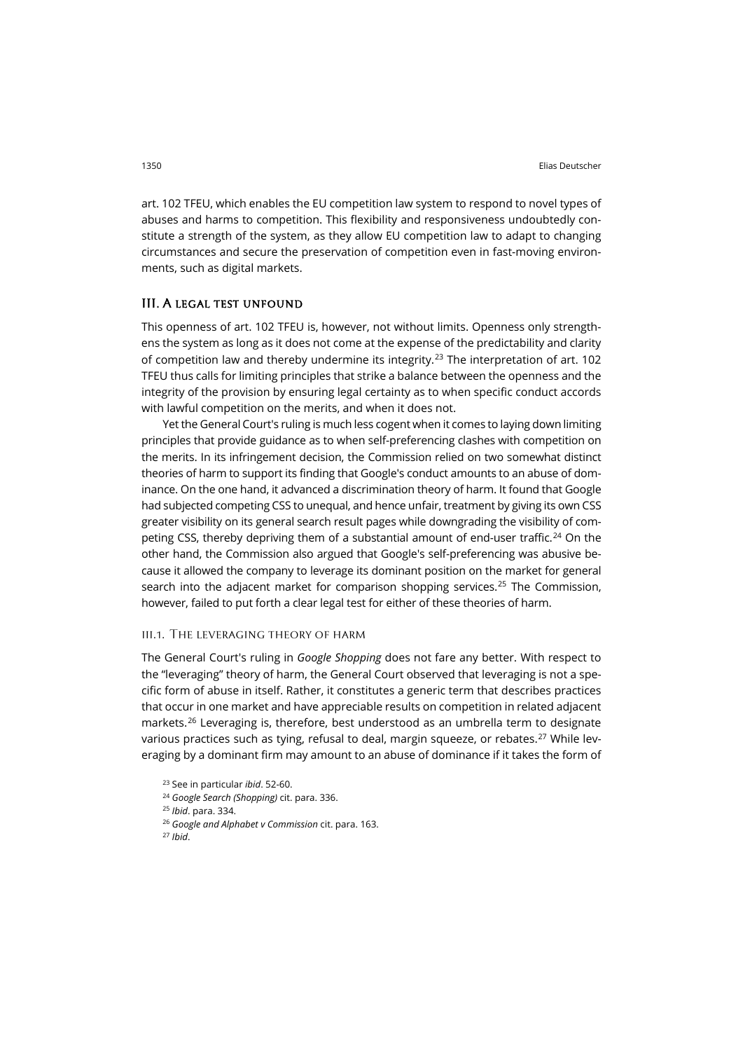art. 102 TFEU, which enables the EU competition law system to respond to novel types of abuses and harms to competition. This flexibility and responsiveness undoubtedly constitute a strength of the system, as they allow EU competition law to adapt to changing circumstances and secure the preservation of competition even in fast-moving environments, such as digital markets.

# III. A legal test unfound

This openness of art. 102 TFEU is, however, not without limits. Openness only strengthens the system as long as it does not come at the expense of the predictability and clarity of competition law and thereby undermine its integrity.<sup>[23](#page-5-0)</sup> The interpretation of art. 102 TFEU thus calls for limiting principles that strike a balance between the openness and the integrity of the provision by ensuring legal certainty as to when specific conduct accords with lawful competition on the merits, and when it does not.

Yet the General Court's ruling is much less cogent when it comes to laying down limiting principles that provide guidance as to when self-preferencing clashes with competition on the merits. In its infringement decision, the Commission relied on two somewhat distinct theories of harm to support its finding that Google's conduct amounts to an abuse of dominance. On the one hand, it advanced a discrimination theory of harm. It found that Google had subjected competing CSS to unequal, and hence unfair, treatment by giving its own CSS greater visibility on its general search result pages while downgrading the visibility of com-peting CSS, thereby depriving them of a substantial amount of end-user traffic.<sup>[24](#page-5-1)</sup> On the other hand, the Commission also argued that Google's self-preferencing was abusive because it allowed the company to leverage its dominant position on the market for general search into the adjacent market for comparison shopping services.<sup>25</sup> The Commission, however, failed to put forth a clear legal test for either of these theories of harm.

#### iii.1. The leveraging theory of harm

The General Court's ruling in *Google Shopping* does not fare any better. With respect to the "leveraging" theory of harm, the General Court observed that leveraging is not a specific form of abuse in itself. Rather, it constitutes a generic term that describes practices that occur in one market and have appreciable results on competition in related adjacent markets.[26](#page-5-3) Leveraging is, therefore, best understood as an umbrella term to designate various practices such as tying, refusal to deal, margin squeeze, or rebates.<sup>[27](#page-5-4)</sup> While leveraging by a dominant firm may amount to an abuse of dominance if it takes the form of

<span id="page-5-4"></span><span id="page-5-3"></span><span id="page-5-2"></span><span id="page-5-1"></span><span id="page-5-0"></span> See in particular *ibid*. 52-60. *Google Search (Shopping)* cit. para. 336. *Ibid*. para. 334. *Google and Alphabet v Commission* cit. para. 163. <sup>27</sup> *Ibid*.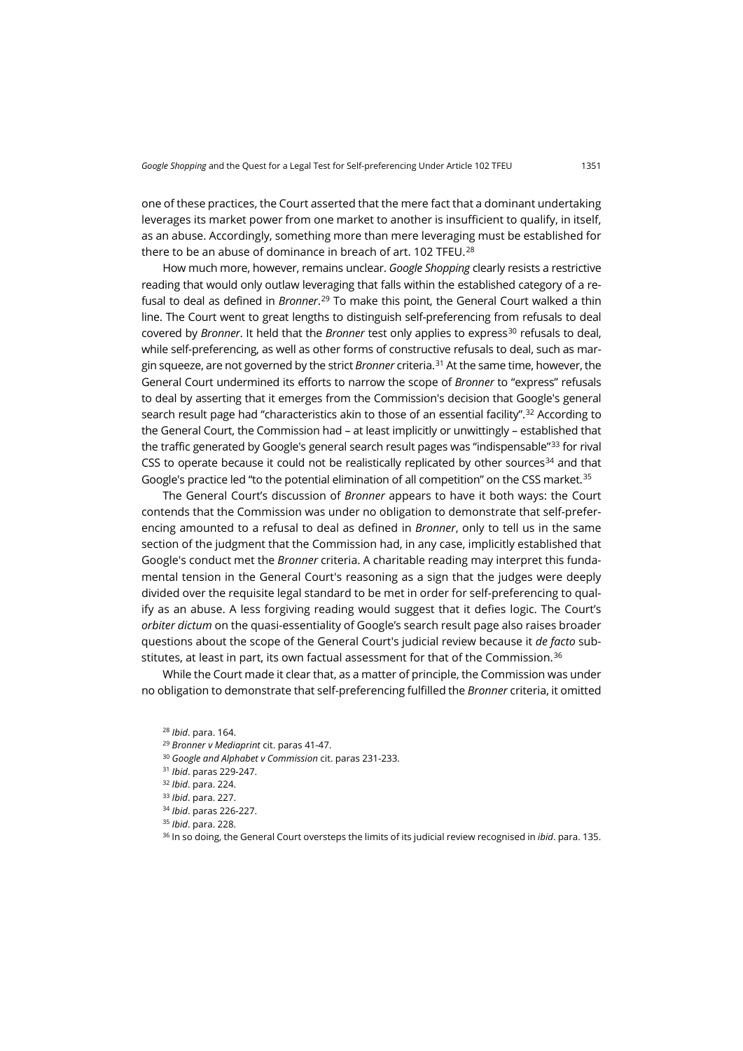one of these practices, the Court asserted that the mere fact that a dominant undertaking leverages its market power from one market to another is insufficient to qualify, in itself, as an abuse. Accordingly, something more than mere leveraging must be established for there to be an abuse of dominance in breach of art. 102 TFEU. [28](#page-6-0)

How much more, however, remains unclear. *Google Shopping* clearly resists a restrictive reading that would only outlaw leveraging that falls within the established category of a refusal to deal as defined in *Bronner*. [29](#page-6-1) To make this point, the General Court walked a thin line. The Court went to great lengths to distinguish self-preferencing from refusals to deal covered by *Bronner*. It held that the *Bronner* test only applies to express<sup>[30](#page-6-2)</sup> refusals to deal, while self-preferencing, as well as other forms of constructive refusals to deal, such as margin squeeze, are not governed by the strict *Bronner* criteria. [31](#page-6-3) At the same time, however, the General Court undermined its efforts to narrow the scope of *Bronner* to "express" refusals to deal by asserting that it emerges from the Commission's decision that Google's general search result page had "characteristics akin to those of an essential facility". [32](#page-6-4) According to the General Court, the Commission had – at least implicitly or unwittingly – established that the traffic generated by Google's general search result pages was "indispensable"<sup>[33](#page-6-5)</sup> for rival CSS to operate because it could not be realistically replicated by other sources<sup>[34](#page-6-6)</sup> and that Google's practice led "to the potential elimination of all competition" on the CSS market.<sup>[35](#page-6-7)</sup>

The General Court's discussion of *Bronner* appears to have it both ways: the Court contends that the Commission was under no obligation to demonstrate that self-preferencing amounted to a refusal to deal as defined in *Bronner*, only to tell us in the same section of the judgment that the Commission had, in any case, implicitly established that Google's conduct met the *Bronner* criteria. A charitable reading may interpret this fundamental tension in the General Court's reasoning as a sign that the judges were deeply divided over the requisite legal standard to be met in order for self-preferencing to qualify as an abuse. A less forgiving reading would suggest that it defies logic. The Court's *orbiter dictum* on the quasi-essentiality of Google's search result page also raises broader questions about the scope of the General Court's judicial review because it *de facto* sub-stitutes, at least in part, its own factual assessment for that of the Commission.<sup>[36](#page-6-8)</sup>

<span id="page-6-1"></span><span id="page-6-0"></span>While the Court made it clear that, as a matter of principle, the Commission was under no obligation to demonstrate that self-preferencing fulfilled the *Bronner* criteria, it omitted

<sup>28</sup> *Ibid*. para. 164.

<span id="page-6-2"></span><sup>30</sup> *Google and Alphabet v Commission* cit. paras 231-233.

<span id="page-6-8"></span><sup>36</sup> In so doing, the General Court oversteps the limits of its judicial review recognised in *ibid*. para. 135.

<sup>29</sup> *Bronner v Mediaprint* cit. paras 41-47.

<span id="page-6-3"></span><sup>31</sup> *Ibid*. paras 229-247.

<span id="page-6-4"></span><sup>32</sup> *Ibid*. para. 224.

<span id="page-6-5"></span><sup>33</sup> *Ibid*. para. 227.

<span id="page-6-6"></span><sup>34</sup> *Ibid*. paras 226-227.

<span id="page-6-7"></span><sup>35</sup> *Ibid*. para. 228.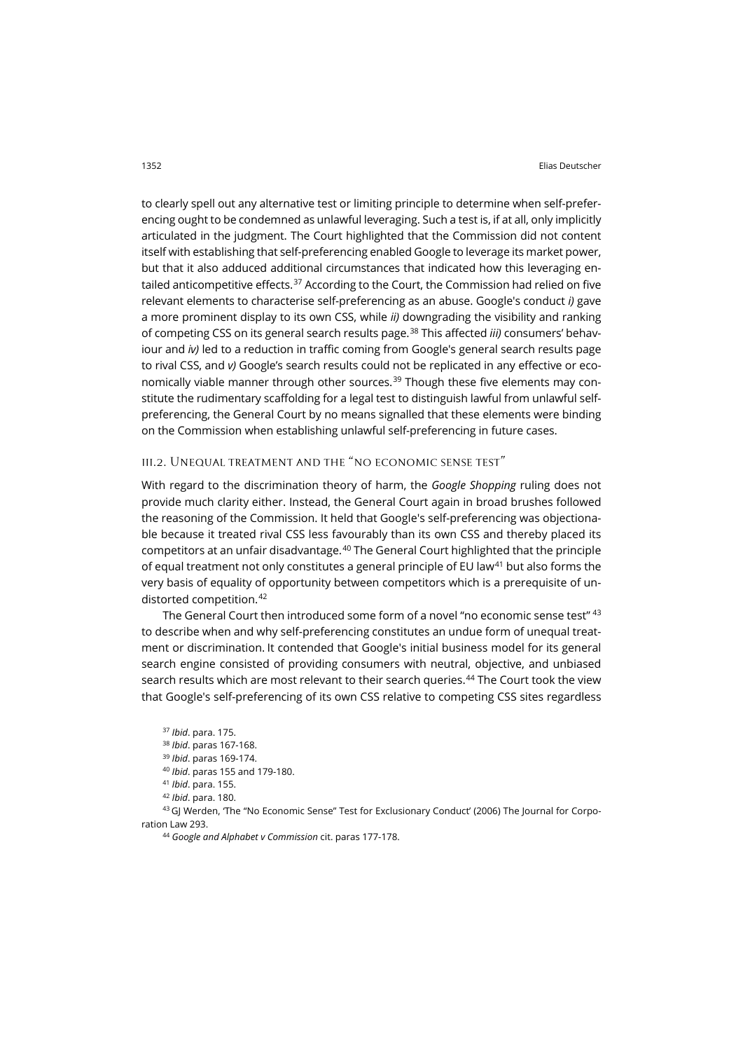to clearly spell out any alternative test or limiting principle to determine when self-preferencing ought to be condemned as unlawful leveraging. Such a test is, if at all, only implicitly articulated in the judgment. The Court highlighted that the Commission did not content itself with establishing that self-preferencing enabled Google to leverage its market power, but that it also adduced additional circumstances that indicated how this leveraging entailed anticompetitive effects. $37$  According to the Court, the Commission had relied on five relevant elements to characterise self-preferencing as an abuse. Google's conduct *i)* gave a more prominent display to its own CSS, while *ii)* downgrading the visibility and ranking of competing CSS on its general search results page. [38](#page-7-1) This affected *iii)* consumers' behaviour and *iv)* led to a reduction in traffic coming from Google's general search results page to rival CSS, and *v)* Google's search results could not be replicated in any effective or eco-nomically viable manner through other sources.<sup>[39](#page-7-2)</sup> Though these five elements may constitute the rudimentary scaffolding for a legal test to distinguish lawful from unlawful selfpreferencing, the General Court by no means signalled that these elements were binding on the Commission when establishing unlawful self-preferencing in future cases.

# iii.2. Unequal treatment and the "no economic sense test"

With regard to the discrimination theory of harm, the *Google Shopping* ruling does not provide much clarity either. Instead, the General Court again in broad brushes followed the reasoning of the Commission. It held that Google's self-preferencing was objectionable because it treated rival CSS less favourably than its own CSS and thereby placed its competitors at an unfair disadvantage.[40](#page-7-3) The General Court highlighted that the principle of equal treatment not only constitutes a general principle of EU law<sup>[41](#page-7-4)</sup> but also forms the very basis of equality of opportunity between competitors which is a prerequisite of un-distorted competition.<sup>[42](#page-7-5)</sup>

The General Court then introduced some form of a novel "no economic sense test" <sup>[43](#page-7-6)</sup> to describe when and why self-preferencing constitutes an undue form of unequal treatment or discrimination. It contended that Google's initial business model for its general search engine consisted of providing consumers with neutral, objective, and unbiased search results which are most relevant to their search queries.<sup>[44](#page-7-7)</sup> The Court took the view that Google's self-preferencing of its own CSS relative to competing CSS sites regardless

```
37 Ibid. para. 175.
38 Ibid. paras 167-168.
39 Ibid. paras 169-174.
40 Ibid. paras 155 and 179-180.
41 Ibid. para. 155.
42 Ibid. para. 180.
```
<span id="page-7-7"></span><span id="page-7-6"></span><span id="page-7-5"></span><span id="page-7-4"></span><span id="page-7-3"></span><span id="page-7-2"></span><span id="page-7-1"></span><sup>43</sup> GJ Werden, 'The "No Economic Sense" Test for Exclusionary Conduct' (2006) The Journal for Corporation Law 293.

<sup>44</sup> *Google and Alphabet v Commission* cit. paras 177-178.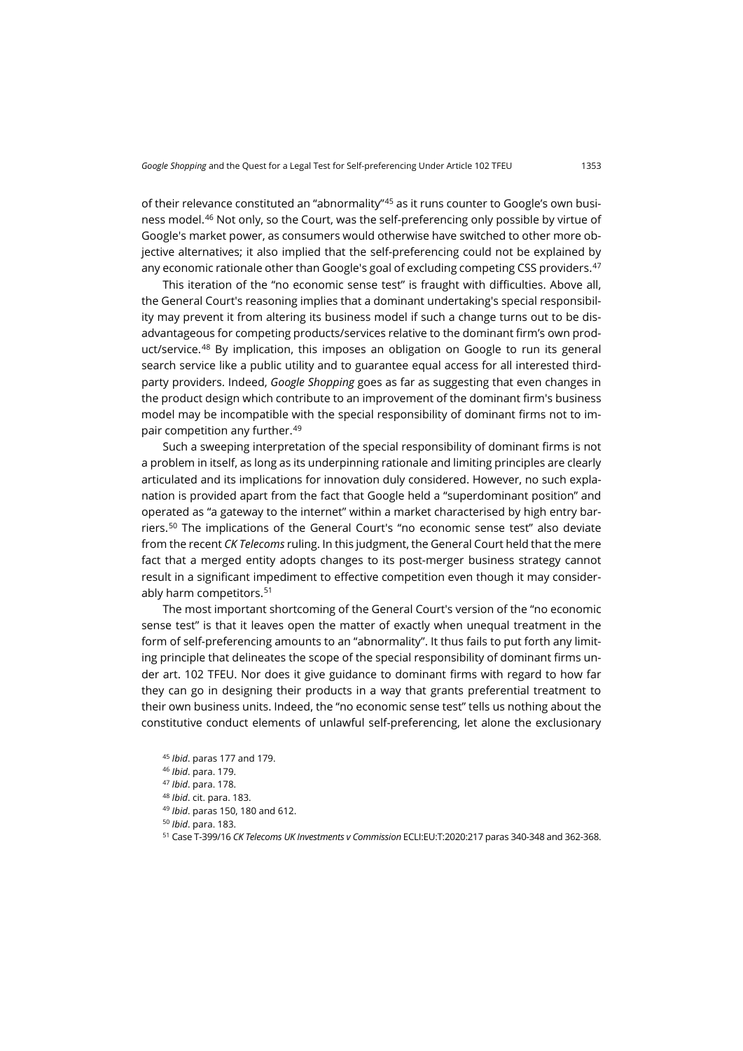of their relevance constituted an "abnormality"[45](#page-8-0) as it runs counter to Google's own business model.[46](#page-8-1) Not only, so the Court, was the self-preferencing only possible by virtue of Google's market power, as consumers would otherwise have switched to other more objective alternatives; it also implied that the self-preferencing could not be explained by any economic rationale other than Google's goal of excluding competing CSS providers.<sup>[47](#page-8-2)</sup>

This iteration of the "no economic sense test" is fraught with difficulties. Above all, the General Court's reasoning implies that a dominant undertaking's special responsibility may prevent it from altering its business model if such a change turns out to be disadvantageous for competing products/services relative to the dominant firm's own product/service. [48](#page-8-3) By implication, this imposes an obligation on Google to run its general search service like a public utility and to guarantee equal access for all interested thirdparty providers. Indeed, *Google Shopping* goes as far as suggesting that even changes in the product design which contribute to an improvement of the dominant firm's business model may be incompatible with the special responsibility of dominant firms not to impair competition any further. [49](#page-8-4)

Such a sweeping interpretation of the special responsibility of dominant firms is not a problem in itself, as long as its underpinning rationale and limiting principles are clearly articulated and its implications for innovation duly considered. However, no such explanation is provided apart from the fact that Google held a "superdominant position" and operated as "a gateway to the internet" within a market characterised by high entry barriers.[50](#page-8-5) The implications of the General Court's "no economic sense test" also deviate from the recent *CK Telecoms* ruling. In this judgment, the General Court held that the mere fact that a merged entity adopts changes to its post-merger business strategy cannot result in a significant impediment to effective competition even though it may consider-ably harm competitors.<sup>[51](#page-8-6)</sup>

The most important shortcoming of the General Court's version of the "no economic sense test" is that it leaves open the matter of exactly when unequal treatment in the form of self-preferencing amounts to an "abnormality". It thus fails to put forth any limiting principle that delineates the scope of the special responsibility of dominant firms under art. 102 TFEU. Nor does it give guidance to dominant firms with regard to how far they can go in designing their products in a way that grants preferential treatment to their own business units. Indeed, the "no economic sense test" tells us nothing about the constitutive conduct elements of unlawful self-preferencing, let alone the exclusionary

<span id="page-8-6"></span><span id="page-8-5"></span><span id="page-8-4"></span><span id="page-8-3"></span><span id="page-8-2"></span><span id="page-8-1"></span><span id="page-8-0"></span><sup>45</sup> *Ibid*. paras 177 and 179. <sup>46</sup> *Ibid*. para. 179. <sup>47</sup> *Ibid*. para. 178. <sup>48</sup> *Ibid*. cit. para. 183. <sup>49</sup> *Ibid*. paras 150, 180 and 612. <sup>50</sup> *Ibid*. para. 183. <sup>51</sup> Case T-399/16 *CK Telecoms UK Investments v Commission* ECLI:EU:T:2020:217 paras 340-348 and 362-368.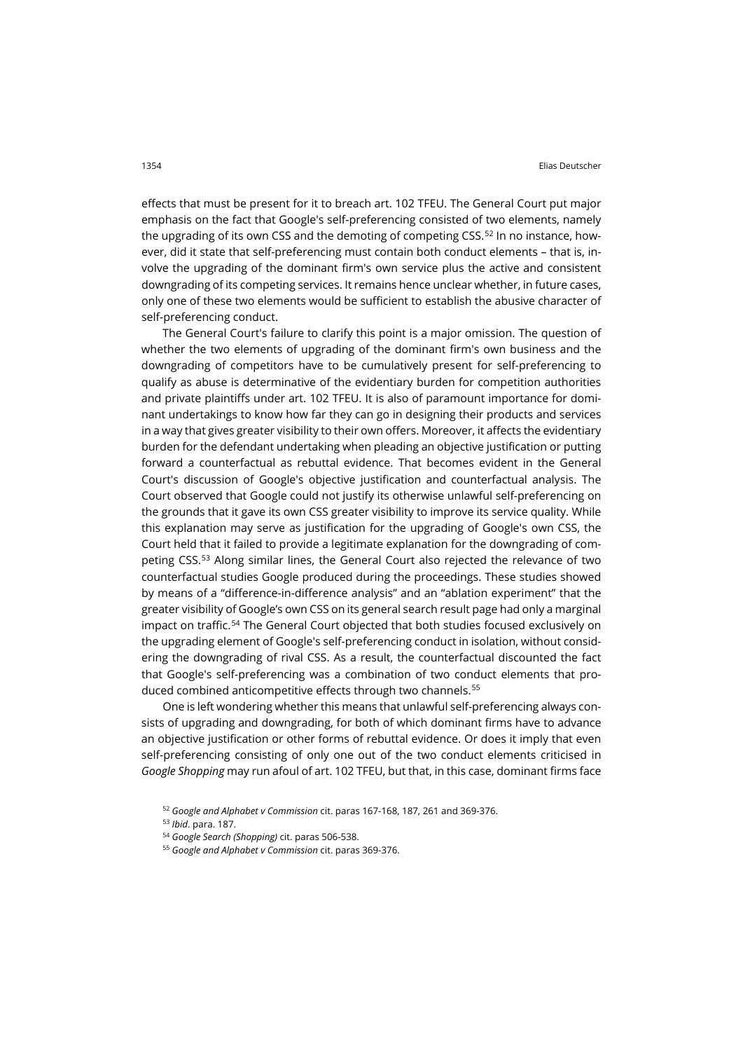effects that must be present for it to breach art. 102 TFEU. The General Court put major emphasis on the fact that Google's self-preferencing consisted of two elements, namely the upgrading of its own CSS and the demoting of competing CSS.<sup>[52](#page-9-0)</sup> In no instance, however, did it state that self-preferencing must contain both conduct elements – that is, involve the upgrading of the dominant firm's own service plus the active and consistent downgrading of its competing services. It remains hence unclear whether, in future cases, only one of these two elements would be sufficient to establish the abusive character of self-preferencing conduct.

The General Court's failure to clarify this point is a major omission. The question of whether the two elements of upgrading of the dominant firm's own business and the downgrading of competitors have to be cumulatively present for self-preferencing to qualify as abuse is determinative of the evidentiary burden for competition authorities and private plaintiffs under art. 102 TFEU. It is also of paramount importance for dominant undertakings to know how far they can go in designing their products and services in a way that gives greater visibility to their own offers. Moreover, it affects the evidentiary burden for the defendant undertaking when pleading an objective justification or putting forward a counterfactual as rebuttal evidence. That becomes evident in the General Court's discussion of Google's objective justification and counterfactual analysis. The Court observed that Google could not justify its otherwise unlawful self-preferencing on the grounds that it gave its own CSS greater visibility to improve its service quality. While this explanation may serve as justification for the upgrading of Google's own CSS, the Court held that it failed to provide a legitimate explanation for the downgrading of competing CSS.[53](#page-9-1) Along similar lines, the General Court also rejected the relevance of two counterfactual studies Google produced during the proceedings. These studies showed by means of a "difference-in-difference analysis" and an "ablation experiment" that the greater visibility of Google's own CSS on its general search result page had only a marginal impact on traffic.<sup>[54](#page-9-2)</sup> The General Court objected that both studies focused exclusively on the upgrading element of Google's self-preferencing conduct in isolation, without considering the downgrading of rival CSS. As a result, the counterfactual discounted the fact that Google's self-preferencing was a combination of two conduct elements that produced combined anticompetitive effects through two channels. [55](#page-9-3)

One is left wondering whether this means that unlawful self-preferencing always consists of upgrading and downgrading, for both of which dominant firms have to advance an objective justification or other forms of rebuttal evidence. Or does it imply that even self-preferencing consisting of only one out of the two conduct elements criticised in *Google Shopping* may run afoul of art. 102 TFEU, but that, in this case, dominant firms face

<span id="page-9-0"></span><sup>52</sup> *Google and Alphabet v Commission* cit. paras 167-168, 187, 261 and 369-376.

<span id="page-9-1"></span><sup>53</sup> *Ibid*. para. 187.

<span id="page-9-2"></span><sup>54</sup> *Google Search (Shopping)* cit. paras 506-538.

<span id="page-9-3"></span><sup>55</sup> *Google and Alphabet v Commission* cit. paras 369-376.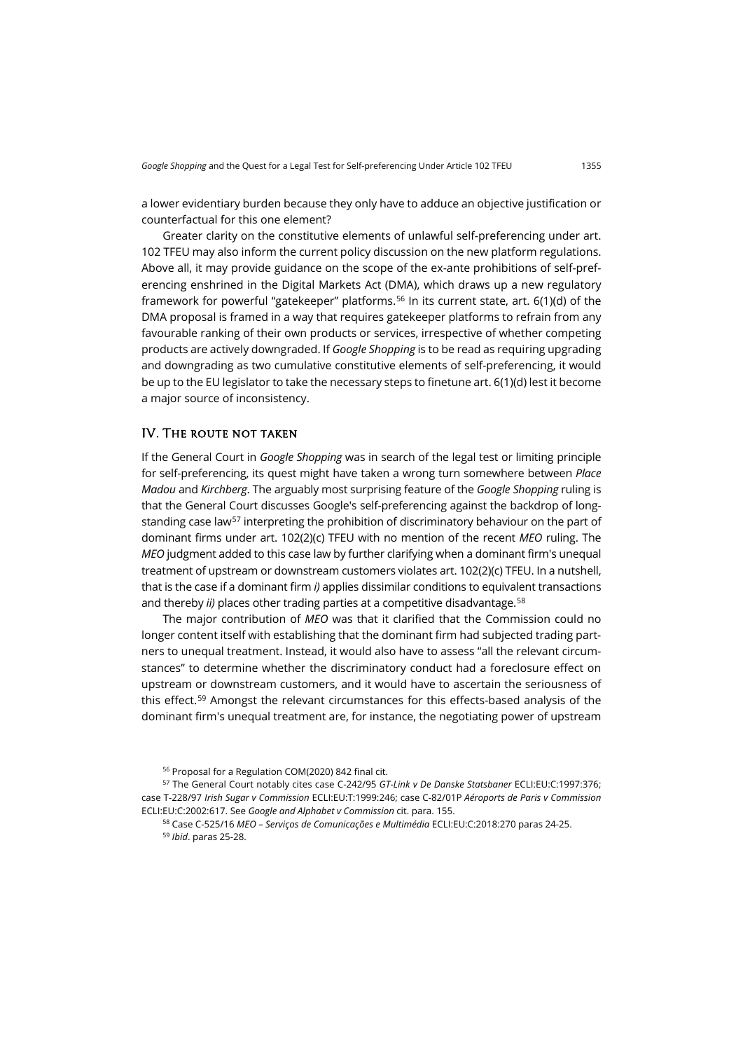a lower evidentiary burden because they only have to adduce an objective justification or counterfactual for this one element?

Greater clarity on the constitutive elements of unlawful self-preferencing under art. 102 TFEU may also inform the current policy discussion on the new platform regulations. Above all, it may provide guidance on the scope of the ex-ante prohibitions of self-preferencing enshrined in the Digital Markets Act (DMA), which draws up a new regulatory framework for powerful "gatekeeper" platforms. [56](#page-10-0) In its current state, art. 6(1)(d) of the DMA proposal is framed in a way that requires gatekeeper platforms to refrain from any favourable ranking of their own products or services, irrespective of whether competing products are actively downgraded. If *Google Shopping* is to be read as requiring upgrading and downgrading as two cumulative constitutive elements of self-preferencing, it would be up to the EU legislator to take the necessary steps to finetune art. 6(1)(d) lest it become a major source of inconsistency.

#### IV. The route not taken

If the General Court in *Google Shopping* was in search of the legal test or limiting principle for self-preferencing, its quest might have taken a wrong turn somewhere between *Place Madou* and *Kirchberg*. The arguably most surprising feature of the *Google Shopping* ruling is that the General Court discusses Google's self-preferencing against the backdrop of longstanding case law<sup>57</sup> interpreting the prohibition of discriminatory behaviour on the part of dominant firms under art. 102(2)(c) TFEU with no mention of the recent *MEO* ruling. The *MEO* judgment added to this case law by further clarifying when a dominant firm's unequal treatment of upstream or downstream customers violates art. 102(2)(c) TFEU. In a nutshell, that is the case if a dominant firm *i)* applies dissimilar conditions to equivalent transactions and thereby *ii*) places other trading parties at a competitive disadvantage.<sup>[58](#page-10-2)</sup>

The major contribution of *MEO* was that it clarified that the Commission could no longer content itself with establishing that the dominant firm had subjected trading partners to unequal treatment. Instead, it would also have to assess "all the relevant circumstances" to determine whether the discriminatory conduct had a foreclosure effect on upstream or downstream customers, and it would have to ascertain the seriousness of this effect.[59](#page-10-3) Amongst the relevant circumstances for this effects-based analysis of the dominant firm's unequal treatment are, for instance, the negotiating power of upstream

<sup>56</sup> Proposal for a Regulation COM(2020) 842 final cit.

<span id="page-10-3"></span><span id="page-10-2"></span><span id="page-10-1"></span><span id="page-10-0"></span><sup>57</sup> The General Court notably cites case C-242/95 *GT-Link v De Danske Statsbaner* ECLI:EU:C:1997:376; case T-228/97 *Irish Sugar v Commission* ECLI:EU:T:1999:246; case C-82/01P *Aéroports de Paris v Commission* ECLI:EU:C:2002:617. See *Google and Alphabet v Commission* cit. para. 155.

<sup>58</sup> Case C-525/16 *MEO – Serviços de Comunicações e Multimédia* ECLI:EU:C:2018:270 paras 24-25.

<sup>59</sup> *Ibid*. paras 25-28.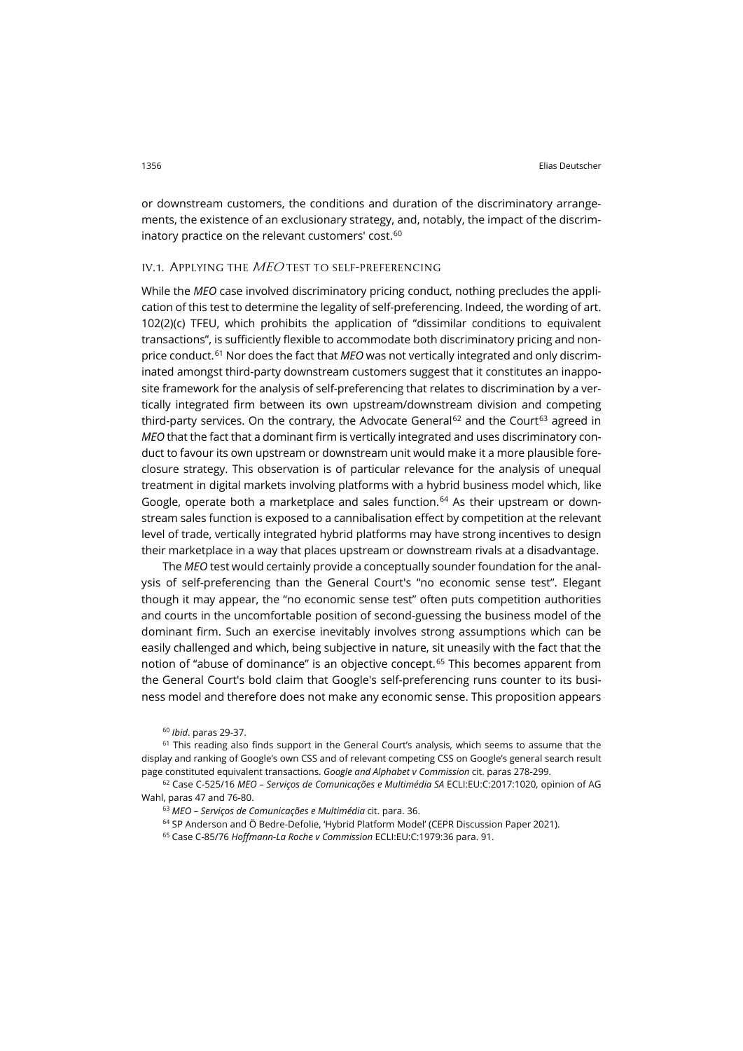or downstream customers, the conditions and duration of the discriminatory arrangements, the existence of an exclusionary strategy, and, notably, the impact of the discrim-inatory practice on the relevant customers' cost.<sup>[60](#page-11-0)</sup>

#### IV.1. APPLYING THE MEO TEST TO SELF-PREFERENCING

While the *MEO* case involved discriminatory pricing conduct, nothing precludes the application of this test to determine the legality of self-preferencing. Indeed, the wording of art. 102(2)(c) TFEU, which prohibits the application of "dissimilar conditions to equivalent transactions", is sufficiently flexible to accommodate both discriminatory pricing and non-price conduct.<sup>[61](#page-11-1)</sup> Nor does the fact that MEO was not vertically integrated and only discriminated amongst third-party downstream customers suggest that it constitutes an inapposite framework for the analysis of self-preferencing that relates to discrimination by a vertically integrated firm between its own upstream/downstream division and competing third-party services. On the contrary, the Advocate General<sup>[62](#page-11-2)</sup> and the Court<sup>[63](#page-11-3)</sup> agreed in *MEO* that the fact that a dominant firm is vertically integrated and uses discriminatory conduct to favour its own upstream or downstream unit would make it a more plausible foreclosure strategy. This observation is of particular relevance for the analysis of unequal treatment in digital markets involving platforms with a hybrid business model which, like Google, operate both a marketplace and sales function. [64](#page-11-4) As their upstream or downstream sales function is exposed to a cannibalisation effect by competition at the relevant level of trade, vertically integrated hybrid platforms may have strong incentives to design their marketplace in a way that places upstream or downstream rivals at a disadvantage.

The *MEO* test would certainly provide a conceptually sounder foundation for the analysis of self-preferencing than the General Court's "no economic sense test". Elegant though it may appear, the "no economic sense test" often puts competition authorities and courts in the uncomfortable position of second-guessing the business model of the dominant firm. Such an exercise inevitably involves strong assumptions which can be easily challenged and which, being subjective in nature, sit uneasily with the fact that the notion of "abuse of dominance" is an objective concept.<sup>[65](#page-11-5)</sup> This becomes apparent from the General Court's bold claim that Google's self-preferencing runs counter to its business model and therefore does not make any economic sense. This proposition appears

<sup>60</sup> *Ibid*. paras 29-37.

<span id="page-11-1"></span><span id="page-11-0"></span><sup>61</sup> This reading also finds support in the General Court's analysis, which seems to assume that the display and ranking of Google's own CSS and of relevant competing CSS on Google's general search result page constituted equivalent transactions. *Google and Alphabet v Commission* cit. paras 278-299.

<span id="page-11-5"></span><span id="page-11-4"></span><span id="page-11-3"></span><span id="page-11-2"></span><sup>62</sup> Case C-525/16 *MEO – Serviços de Comunicações e Multimédia SA* ECLI:EU:C:2017:1020, opinion of AG Wahl, paras 47 and 76-80.

<sup>63</sup> *MEO – Serviços de Comunicações e Multimédia* cit. para. 36.

<sup>64</sup> SP Anderson and Ö Bedre-Defolie, 'Hybrid Platform Model' (CEPR Discussion Paper 2021).

<sup>65</sup> Case C-85/76 *Hoffmann-La Roche v Commission* ECLI:EU:C:1979:36 para. 91.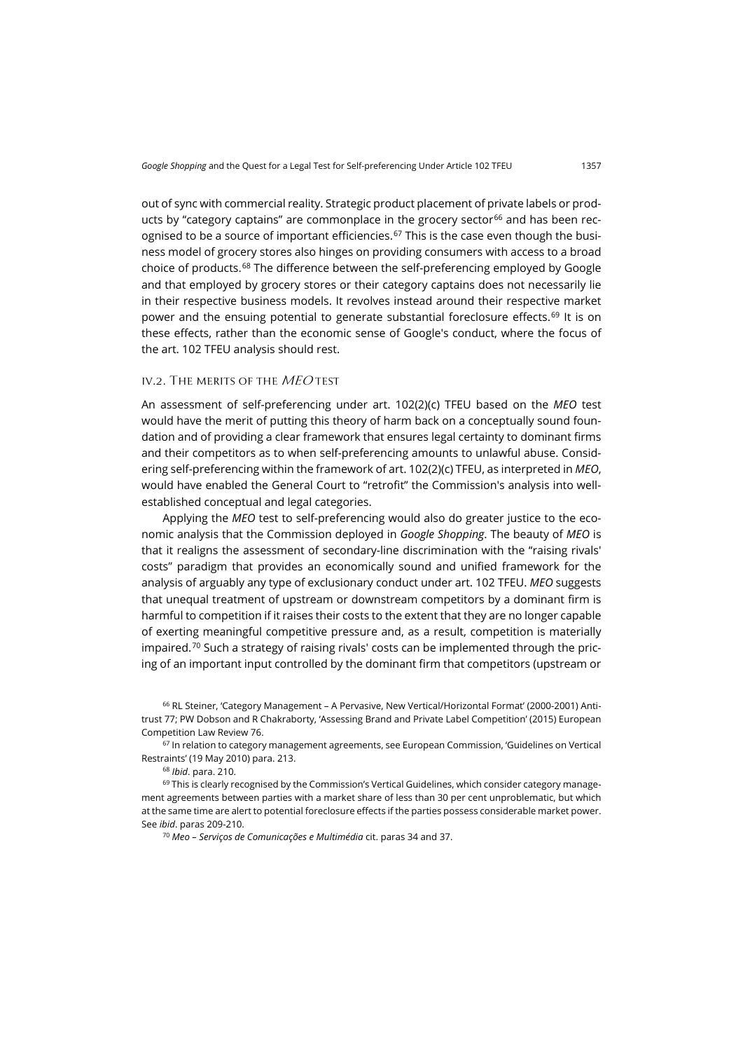out of sync with commercial reality. Strategic product placement of private labels or prod-ucts by "category captains" are commonplace in the grocery sector<sup>[66](#page-12-0)</sup> and has been rec-ognised to be a source of important efficiencies.<sup>[67](#page-12-1)</sup> This is the case even though the business model of grocery stores also hinges on providing consumers with access to a broad choice of products.[68](#page-12-2) The difference between the self-preferencing employed by Google and that employed by grocery stores or their category captains does not necessarily lie in their respective business models. It revolves instead around their respective market power and the ensuing potential to generate substantial foreclosure effects.<sup>[69](#page-12-3)</sup> It is on these effects, rather than the economic sense of Google's conduct, where the focus of the art. 102 TFEU analysis should rest.

# iv.2. The merits of the MEO test

An assessment of self-preferencing under art. 102(2)(c) TFEU based on the *MEO* test would have the merit of putting this theory of harm back on a conceptually sound foundation and of providing a clear framework that ensures legal certainty to dominant firms and their competitors as to when self-preferencing amounts to unlawful abuse. Considering self-preferencing within the framework of art. 102(2)(c) TFEU, as interpreted in *MEO*, would have enabled the General Court to "retrofit" the Commission's analysis into wellestablished conceptual and legal categories.

Applying the *MEO* test to self-preferencing would also do greater justice to the economic analysis that the Commission deployed in *Google Shopping*. The beauty of *MEO* is that it realigns the assessment of secondary-line discrimination with the "raising rivals' costs" paradigm that provides an economically sound and unified framework for the analysis of arguably any type of exclusionary conduct under art. 102 TFEU. *MEO* suggests that unequal treatment of upstream or downstream competitors by a dominant firm is harmful to competition if it raises their costs to the extent that they are no longer capable of exerting meaningful competitive pressure and, as a result, competition is materially impaired.<sup>[70](#page-12-4)</sup> Such a strategy of raising rivals' costs can be implemented through the pricing of an important input controlled by the dominant firm that competitors (upstream or

<span id="page-12-0"></span><sup>66</sup> RL Steiner, 'Category Management – A Pervasive, New Vertical/Horizontal Format' (2000-2001) Antitrust 77; PW Dobson and R Chakraborty, 'Assessing Brand and Private Label Competition' (2015) European Competition Law Review 76.

<span id="page-12-1"></span><sup>67</sup> In relation to category management agreements, see European Commission, 'Guidelines on Vertical Restraints' (19 May 2010) para. 213.

<sup>68</sup> *Ibid*. para. 210.

<span id="page-12-4"></span><span id="page-12-3"></span><span id="page-12-2"></span><sup>69</sup> This is clearly recognised by the Commission's Vertical Guidelines, which consider category management agreements between parties with a market share of less than 30 per cent unproblematic, but which at the same time are alert to potential foreclosure effects if the parties possess considerable market power. See *ibid*. paras 209-210.

<sup>70</sup> *Meo – Serviços de Comunicações e Multimédia* cit. paras 34 and 37.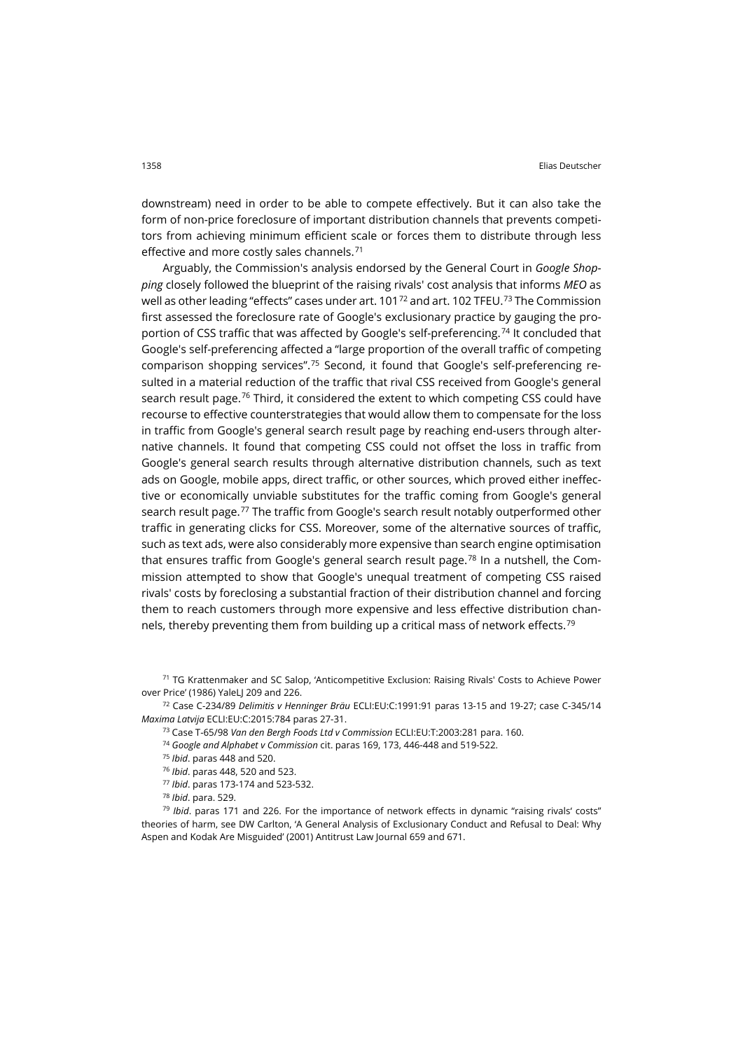downstream) need in order to be able to compete effectively. But it can also take the form of non-price foreclosure of important distribution channels that prevents competitors from achieving minimum efficient scale or forces them to distribute through less effective and more costly sales channels. [71](#page-13-0)

Arguably, the Commission's analysis endorsed by the General Court in *Google Shopping* closely followed the blueprint of the raising rivals' cost analysis that informs *MEO* as well as other leading "effects" cases under art. 101<sup>[72](#page-13-1)</sup> and art. 102 TFEU.<sup>[73](#page-13-2)</sup> The Commission first assessed the foreclosure rate of Google's exclusionary practice by gauging the proportion of CSS traffic that was affected by Google's self-preferencing. [74](#page-13-3) It concluded that Google's self-preferencing affected a "large proportion of the overall traffic of competing comparison shopping services".<sup>[75](#page-13-4)</sup> Second, it found that Google's self-preferencing resulted in a material reduction of the traffic that rival CSS received from Google's general search result page.<sup>[76](#page-13-5)</sup> Third, it considered the extent to which competing CSS could have recourse to effective counterstrategies that would allow them to compensate for the loss in traffic from Google's general search result page by reaching end-users through alternative channels. It found that competing CSS could not offset the loss in traffic from Google's general search results through alternative distribution channels, such as text ads on Google, mobile apps, direct traffic, or other sources, which proved either ineffective or economically unviable substitutes for the traffic coming from Google's general search result page.<sup>[77](#page-13-6)</sup> The traffic from Google's search result notably outperformed other traffic in generating clicks for CSS. Moreover, some of the alternative sources of traffic, such as text ads, were also considerably more expensive than search engine optimisation that ensures traffic from Google's general search result page.<sup>[78](#page-13-7)</sup> In a nutshell, the Commission attempted to show that Google's unequal treatment of competing CSS raised rivals' costs by foreclosing a substantial fraction of their distribution channel and forcing them to reach customers through more expensive and less effective distribution channels, thereby preventing them from building up a critical mass of network effects. [79](#page-13-8)

<span id="page-13-0"></span><sup>71</sup> TG Krattenmaker and SC Salop, 'Anticompetitive Exclusion: Raising Rivals' Costs to Achieve Power over Price' (1986) YaleLJ 209 and 226.

<span id="page-13-4"></span><span id="page-13-3"></span><span id="page-13-2"></span><span id="page-13-1"></span><sup>72</sup> Case C-234/89 *Delimitis v Henninger Bräu* ECLI:EU:C:1991:91 paras 13-15 and 19-27; case C-345/14 *Maxima Latvija* ECLI:EU:C:2015:784 paras 27-31.

<sup>73</sup> Case T-65/98 *Van den Bergh Foods Ltd v Commission* ECLI:EU:T:2003:281 para. 160.

<sup>74</sup> *Google and Alphabet v Commission* cit. paras 169, 173, 446-448 and 519-522.

<sup>75</sup> *Ibid*. paras 448 and 520.

<sup>76</sup> *Ibid*. paras 448, 520 and 523.

<sup>77</sup> *Ibid*. paras 173-174 and 523-532.

<sup>78</sup> *Ibid*. para. 529.

<span id="page-13-8"></span><span id="page-13-7"></span><span id="page-13-6"></span><span id="page-13-5"></span><sup>79</sup> *Ibid*. paras 171 and 226. For the importance of network effects in dynamic "raising rivals' costs" theories of harm, see DW Carlton, 'A General Analysis of Exclusionary Conduct and Refusal to Deal: Why Aspen and Kodak Are Misguided' (2001) Antitrust Law Journal 659 and 671.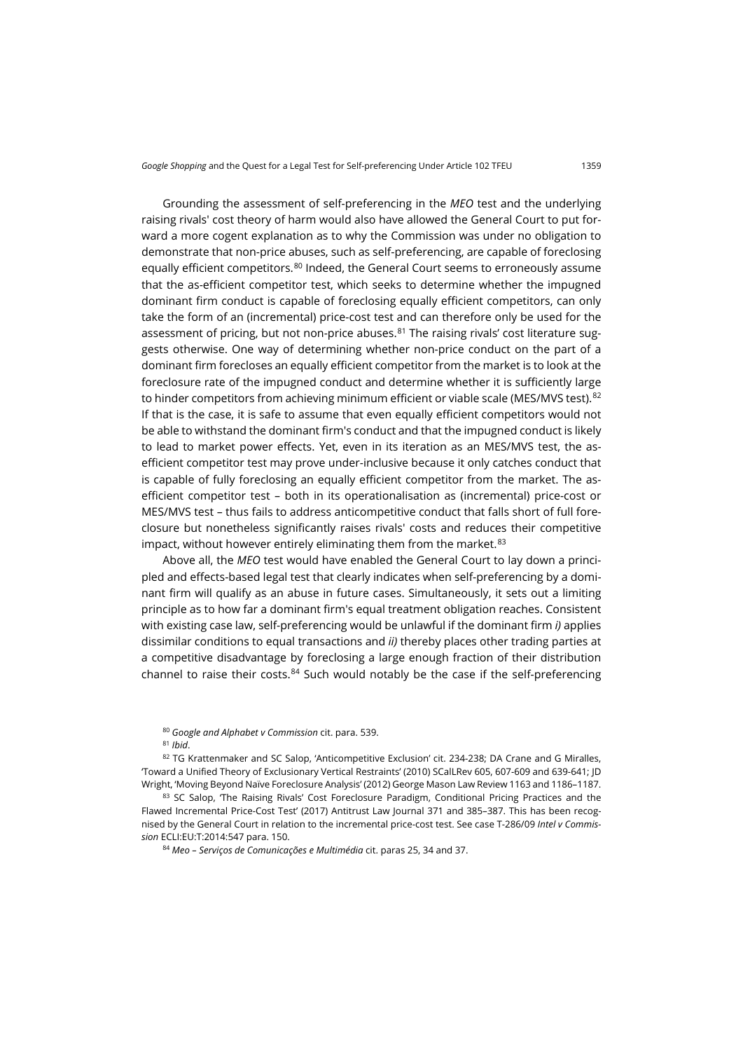Grounding the assessment of self-preferencing in the *MEO* test and the underlying raising rivals' cost theory of harm would also have allowed the General Court to put forward a more cogent explanation as to why the Commission was under no obligation to demonstrate that non-price abuses, such as self-preferencing, are capable of foreclosing equally efficient competitors.<sup>[80](#page-14-0)</sup> Indeed, the General Court seems to erroneously assume that the as-efficient competitor test, which seeks to determine whether the impugned dominant firm conduct is capable of foreclosing equally efficient competitors, can only take the form of an (incremental) price-cost test and can therefore only be used for the assessment of pricing, but not non-price abuses. $81$  The raising rivals' cost literature suggests otherwise. One way of determining whether non-price conduct on the part of a dominant firm forecloses an equally efficient competitor from the market is to look at the foreclosure rate of the impugned conduct and determine whether it is sufficiently large to hinder competitors from achieving minimum efficient or viable scale (MES/MVS test). [82](#page-14-2) If that is the case, it is safe to assume that even equally efficient competitors would not be able to withstand the dominant firm's conduct and that the impugned conduct is likely to lead to market power effects. Yet, even in its iteration as an MES/MVS test, the asefficient competitor test may prove under-inclusive because it only catches conduct that is capable of fully foreclosing an equally efficient competitor from the market. The asefficient competitor test – both in its operationalisation as (incremental) price-cost or MES/MVS test – thus fails to address anticompetitive conduct that falls short of full foreclosure but nonetheless significantly raises rivals' costs and reduces their competitive impact, without however entirely eliminating them from the market. [83](#page-14-3)

Above all, the *MEO* test would have enabled the General Court to lay down a principled and effects-based legal test that clearly indicates when self-preferencing by a dominant firm will qualify as an abuse in future cases. Simultaneously, it sets out a limiting principle as to how far a dominant firm's equal treatment obligation reaches. Consistent with existing case law, self-preferencing would be unlawful if the dominant firm *i)* applies dissimilar conditions to equal transactions and *ii)* thereby places other trading parties at a competitive disadvantage by foreclosing a large enough fraction of their distribution channel to raise their costs.<sup>[84](#page-14-4)</sup> Such would notably be the case if the self-preferencing

<sup>80</sup> *Google and Alphabet v Commission* cit. para. 539.

<span id="page-14-2"></span><span id="page-14-1"></span><span id="page-14-0"></span>82 TG Krattenmaker and SC Salop, 'Anticompetitive Exclusion' cit. 234-238; DA Crane and G Miralles, 'Toward a Unified Theory of Exclusionary Vertical Restraints' (2010) SCalLRev 605, 607-609 and 639-641; JD Wright, 'Moving Beyond Naïve Foreclosure Analysis' (2012) George Mason Law Review 1163 and 1186–1187.

<span id="page-14-4"></span><span id="page-14-3"></span>83 SC Salop, 'The Raising Rivals' Cost Foreclosure Paradigm, Conditional Pricing Practices and the Flawed Incremental Price-Cost Test' (2017) Antitrust Law Journal 371 and 385–387. This has been recognised by the General Court in relation to the incremental price-cost test. See case T-286/09 *Intel v Commission* ECLI:EU:T:2014:547 para. 150.

<sup>84</sup> *Meo – Serviços de Comunicações e Multimédia* cit. paras 25, 34 and 37.

<sup>81</sup> *Ibid*.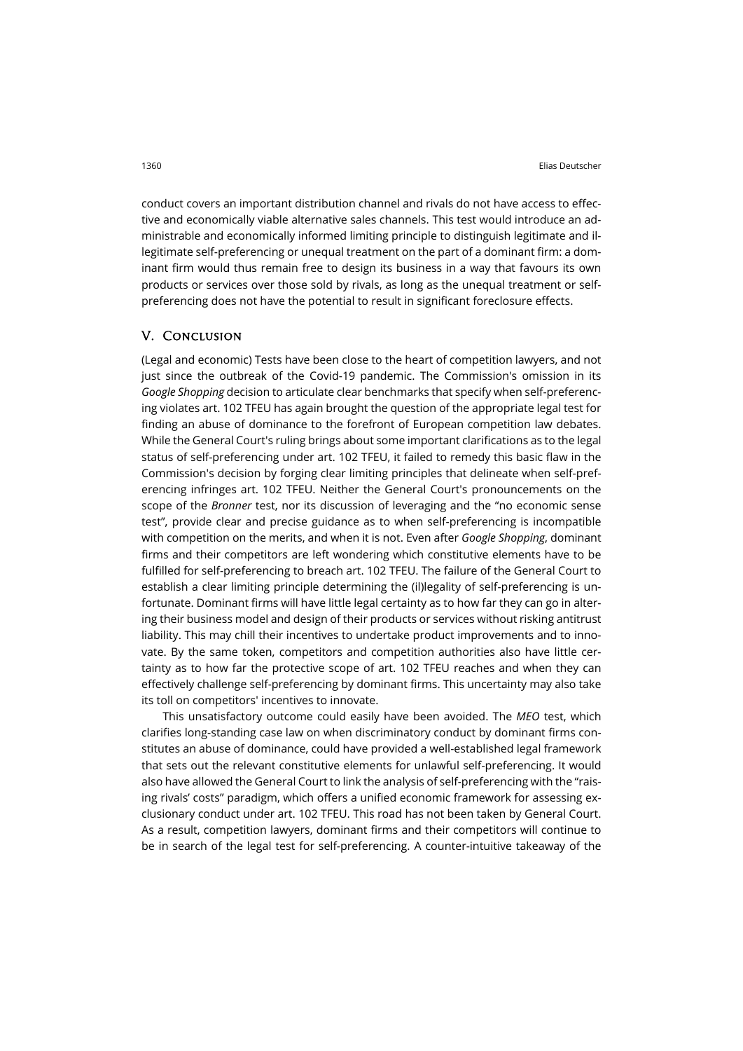conduct covers an important distribution channel and rivals do not have access to effective and economically viable alternative sales channels. This test would introduce an administrable and economically informed limiting principle to distinguish legitimate and illegitimate self-preferencing or unequal treatment on the part of a dominant firm: a dominant firm would thus remain free to design its business in a way that favours its own products or services over those sold by rivals, as long as the unequal treatment or selfpreferencing does not have the potential to result in significant foreclosure effects.

# V. Conclusion

(Legal and economic) Tests have been close to the heart of competition lawyers, and not just since the outbreak of the Covid-19 pandemic. The Commission's omission in its *Google Shopping* decision to articulate clear benchmarks that specify when self-preferencing violates art. 102 TFEU has again brought the question of the appropriate legal test for finding an abuse of dominance to the forefront of European competition law debates. While the General Court's ruling brings about some important clarifications as to the legal status of self-preferencing under art. 102 TFEU, it failed to remedy this basic flaw in the Commission's decision by forging clear limiting principles that delineate when self-preferencing infringes art. 102 TFEU. Neither the General Court's pronouncements on the scope of the *Bronner* test, nor its discussion of leveraging and the "no economic sense test", provide clear and precise guidance as to when self-preferencing is incompatible with competition on the merits, and when it is not. Even after *Google Shopping*, dominant firms and their competitors are left wondering which constitutive elements have to be fulfilled for self-preferencing to breach art. 102 TFEU. The failure of the General Court to establish a clear limiting principle determining the (il)legality of self-preferencing is unfortunate. Dominant firms will have little legal certainty as to how far they can go in altering their business model and design of their products or services without risking antitrust liability. This may chill their incentives to undertake product improvements and to innovate. By the same token, competitors and competition authorities also have little certainty as to how far the protective scope of art. 102 TFEU reaches and when they can effectively challenge self-preferencing by dominant firms. This uncertainty may also take its toll on competitors' incentives to innovate.

This unsatisfactory outcome could easily have been avoided. The *MEO* test, which clarifies long-standing case law on when discriminatory conduct by dominant firms constitutes an abuse of dominance, could have provided a well-established legal framework that sets out the relevant constitutive elements for unlawful self-preferencing. It would also have allowed the General Court to link the analysis of self-preferencing with the "raising rivals' costs" paradigm, which offers a unified economic framework for assessing exclusionary conduct under art. 102 TFEU. This road has not been taken by General Court. As a result, competition lawyers, dominant firms and their competitors will continue to be in search of the legal test for self-preferencing. A counter-intuitive takeaway of the